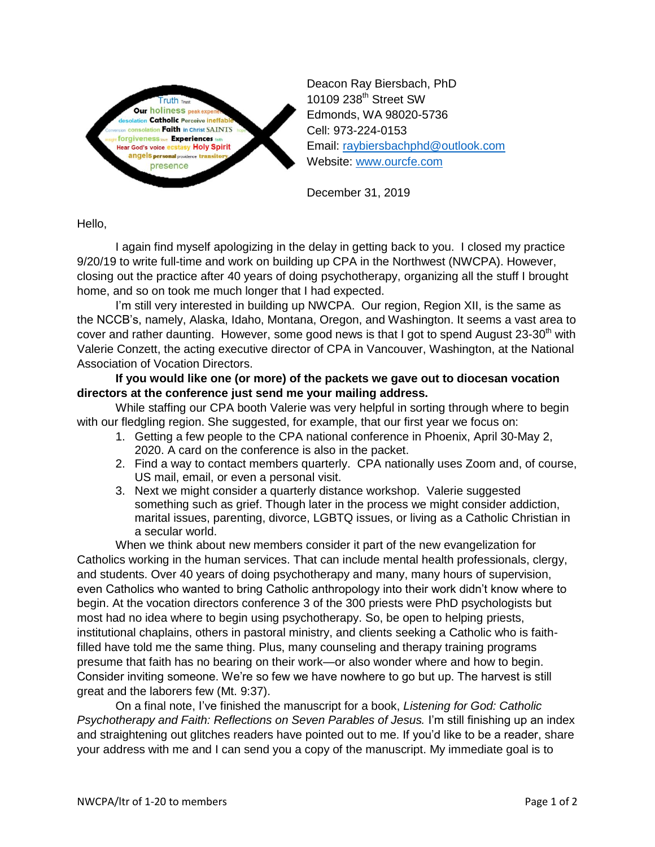

Deacon Ray Biersbach, PhD 10109 238<sup>th</sup> Street SW Edmonds, WA 98020-5736 Cell: 973-224-0153 Email: [raybiersbachphd@outlook.com](mailto:raybiersbachphd@outlook.com) Website: [www.ourcfe.com](http://www.ourcfe.com/)

December 31, 2019

Hello,

I again find myself apologizing in the delay in getting back to you. I closed my practice 9/20/19 to write full-time and work on building up CPA in the Northwest (NWCPA). However, closing out the practice after 40 years of doing psychotherapy, organizing all the stuff I brought home, and so on took me much longer that I had expected.

I'm still very interested in building up NWCPA. Our region, Region XII, is the same as the NCCB's, namely, Alaska, Idaho, Montana, Oregon, and Washington. It seems a vast area to cover and rather daunting. However, some good news is that I got to spend August 23-30<sup>th</sup> with Valerie Conzett, the acting executive director of CPA in Vancouver, Washington, at the National Association of Vocation Directors.

**If you would like one (or more) of the packets we gave out to diocesan vocation directors at the conference just send me your mailing address.**

While staffing our CPA booth Valerie was very helpful in sorting through where to begin with our fledgling region. She suggested, for example, that our first year we focus on:

- 1. Getting a few people to the CPA national conference in Phoenix, April 30-May 2, 2020. A card on the conference is also in the packet.
- 2. Find a way to contact members quarterly. CPA nationally uses Zoom and, of course, US mail, email, or even a personal visit.
- 3. Next we might consider a quarterly distance workshop. Valerie suggested something such as grief. Though later in the process we might consider addiction, marital issues, parenting, divorce, LGBTQ issues, or living as a Catholic Christian in a secular world.

When we think about new members consider it part of the new evangelization for Catholics working in the human services. That can include mental health professionals, clergy, and students. Over 40 years of doing psychotherapy and many, many hours of supervision, even Catholics who wanted to bring Catholic anthropology into their work didn't know where to begin. At the vocation directors conference 3 of the 300 priests were PhD psychologists but most had no idea where to begin using psychotherapy. So, be open to helping priests, institutional chaplains, others in pastoral ministry, and clients seeking a Catholic who is faithfilled have told me the same thing. Plus, many counseling and therapy training programs presume that faith has no bearing on their work—or also wonder where and how to begin. Consider inviting someone. We're so few we have nowhere to go but up. The harvest is still great and the laborers few (Mt. 9:37).

On a final note, I've finished the manuscript for a book, *Listening for God: Catholic Psychotherapy and Faith: Reflections on Seven Parables of Jesus.* I'm still finishing up an index and straightening out glitches readers have pointed out to me. If you'd like to be a reader, share your address with me and I can send you a copy of the manuscript. My immediate goal is to